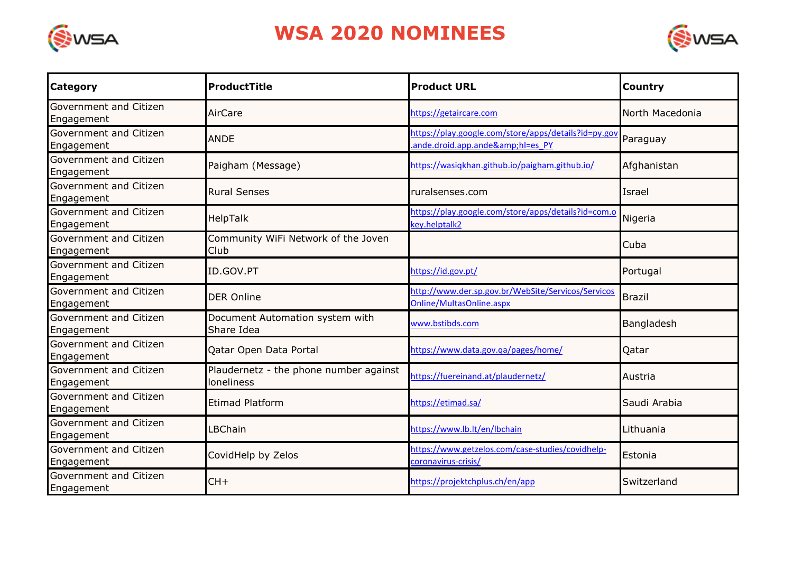

## **WSA 2020 NOMINEES**



| <b>Category</b>                      | <b>ProductTitle</b>                                  | <b>Product URL</b>                                                                   | <b>Country</b>  |
|--------------------------------------|------------------------------------------------------|--------------------------------------------------------------------------------------|-----------------|
| Government and Citizen<br>Engagement | AirCare                                              | https://getaircare.com                                                               | North Macedonia |
| Government and Citizen<br>Engagement | <b>ANDE</b>                                          | https://play.google.com/store/apps/details?id=py.gov<br>ande.droid.app.ande&hl=es_PY | Paraguay        |
| Government and Citizen<br>Engagement | Paigham (Message)                                    | https://wasiqkhan.github.io/paigham.github.io/                                       | Afghanistan     |
| Government and Citizen<br>Engagement | <b>Rural Senses</b>                                  | ruralsenses.com                                                                      | Israel          |
| Government and Citizen<br>Engagement | HelpTalk                                             | https://play.google.com/store/apps/details?id=com.o<br>key.helptalk2                 | Nigeria         |
| Government and Citizen<br>Engagement | Community WiFi Network of the Joven<br>Club          |                                                                                      | Cuba            |
| Government and Citizen<br>Engagement | ID.GOV.PT                                            | https://id.gov.pt/                                                                   | Portugal        |
| Government and Citizen<br>Engagement | <b>DER Online</b>                                    | http://www.der.sp.gov.br/WebSite/Servicos/Servicos<br>Online/MultasOnline.aspx       | <b>Brazil</b>   |
| Government and Citizen<br>Engagement | Document Automation system with<br>Share Idea        | www.bstibds.com                                                                      | Bangladesh      |
| Government and Citizen<br>Engagement | Qatar Open Data Portal                               | https://www.data.gov.qa/pages/home/                                                  | Qatar           |
| Government and Citizen<br>Engagement | Plaudernetz - the phone number against<br>loneliness | https://fuereinand.at/plaudernetz/                                                   | Austria         |
| Government and Citizen<br>Engagement | <b>Etimad Platform</b>                               | https://etimad.sa/                                                                   | Saudi Arabia    |
| Government and Citizen<br>Engagement | LBChain                                              | https://www.lb.lt/en/lbchain                                                         | Lithuania       |
| Government and Citizen<br>Engagement | CovidHelp by Zelos                                   | https://www.getzelos.com/case-studies/covidhelp-<br>coronavirus-crisis/              | Estonia         |
| Government and Citizen<br>Engagement | $CH+$                                                | https://projektchplus.ch/en/app                                                      | Switzerland     |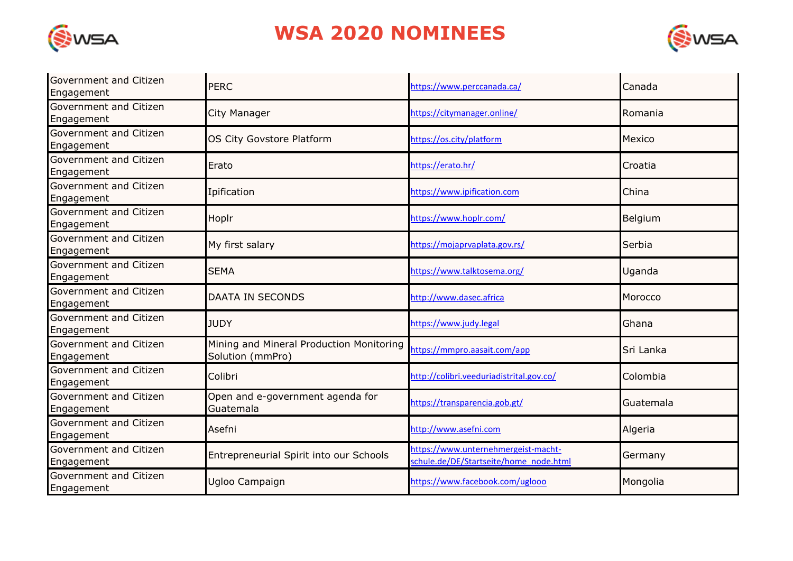

## **WSA 2020 NOMINEES**



| Government and Citizen<br>Engagement | <b>PERC</b>                                                  | https://www.perccanada.ca/                                                    | Canada    |
|--------------------------------------|--------------------------------------------------------------|-------------------------------------------------------------------------------|-----------|
| Government and Citizen<br>Engagement | City Manager                                                 | https://citymanager.online/                                                   | Romania   |
| Government and Citizen<br>Engagement | OS City Govstore Platform                                    | https://os.city/platform                                                      | Mexico    |
| Government and Citizen<br>Engagement | Erato                                                        | https://erato.hr/                                                             | Croatia   |
| Government and Citizen<br>Engagement | Ipification                                                  | https://www.ipification.com                                                   | China     |
| Government and Citizen<br>Engagement | Hoplr                                                        | https://www.hoplr.com/                                                        | Belgium   |
| Government and Citizen<br>Engagement | My first salary                                              | https://mojaprvaplata.gov.rs/                                                 | Serbia    |
| Government and Citizen<br>Engagement | <b>SEMA</b>                                                  | https://www.talktosema.org/                                                   | Uganda    |
| Government and Citizen<br>Engagement | <b>DAATA IN SECONDS</b>                                      | http://www.dasec.africa                                                       | Morocco   |
| Government and Citizen<br>Engagement | <b>JUDY</b>                                                  | https://www.judy.legal                                                        | Ghana     |
| Government and Citizen<br>Engagement | Mining and Mineral Production Monitoring<br>Solution (mmPro) | https://mmpro.aasait.com/app                                                  | Sri Lanka |
| Government and Citizen<br>Engagement | Colibri                                                      | http://colibri.veeduriadistrital.gov.co/                                      | Colombia  |
| Government and Citizen<br>Engagement | Open and e-government agenda for<br>Guatemala                | https://transparencia.gob.gt/                                                 | Guatemala |
| Government and Citizen<br>Engagement | Asefni                                                       | http://www.asefni.com                                                         | Algeria   |
| Government and Citizen<br>Engagement | Entrepreneurial Spirit into our Schools                      | https://www.unternehmergeist-macht-<br>schule.de/DE/Startseite/home node.html | Germany   |
| Government and Citizen<br>Engagement | Ugloo Campaign                                               | https://www.facebook.com/uglooo                                               | Mongolia  |